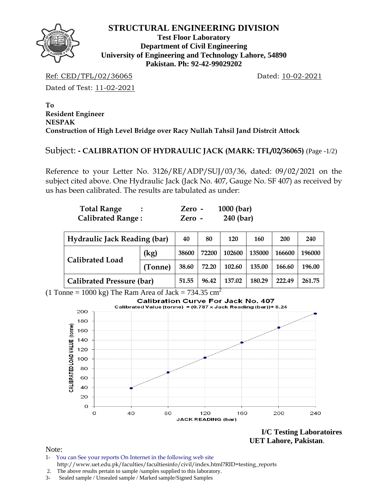

**Test Floor Laboratory Department of Civil Engineering University of Engineering and Technology Lahore, 54890 Pakistan. Ph: 92-42-99029202** 

Ref: CED/TFL/02/36065 Dated: 10-02-2021

Dated of Test: 11-02-2021

**To Resident Engineer NESPAK Construction of High Level Bridge over Racy Nullah Tahsil Jand Distrcit Attock** 

### Subject: **- CALIBRATION OF HYDRAULIC JACK (MARK: TFL/02/36065)** (Page -1/2)

Reference to your Letter No. 3126/RE/ADP/SUJ/03/36, dated: 09/02/2021 on the subject cited above. One Hydraulic Jack (Jack No. 407, Gauge No. SF 407) as received by us has been calibrated. The results are tabulated as under:

| <b>Total Range</b>       | Zero -   | $1000$ (bar) |
|--------------------------|----------|--------------|
| <b>Calibrated Range:</b> | $Zero -$ | 240 (bar)    |

| <b>Hydraulic Jack Reading (bar)</b> |         | 40    | 80     | 120    | 160    | 200    | 240    |
|-------------------------------------|---------|-------|--------|--------|--------|--------|--------|
| <b>Calibrated Load</b>              | (kg)    | 38600 | 72200  | 102600 | 135000 | 166600 | 196000 |
|                                     | (Tonne) | 38.60 | 72.20  | 102.60 | 135.00 | 166.60 | 196.00 |
| <b>Calibrated Pressure (bar)</b>    | 51.55   | 96.42 | 137.02 | 180.29 | 222.49 | 261.75 |        |

(1 Tonne = 1000 kg) The Ram Area of Jack =  $734.35 \text{ cm}^2$ 



**I/C Testing Laboratoires UET Lahore, Pakistan**.

Note:

- 1- You can See your reports On Internet in the following web site http://www.uet.edu.pk/faculties/facultiesinfo/civil/index.html?RID=testing\_reports
- 2. The above results pertain to sample /samples supplied to this laboratory.
- 3- Sealed sample / Unsealed sample / Marked sample/Signed Samples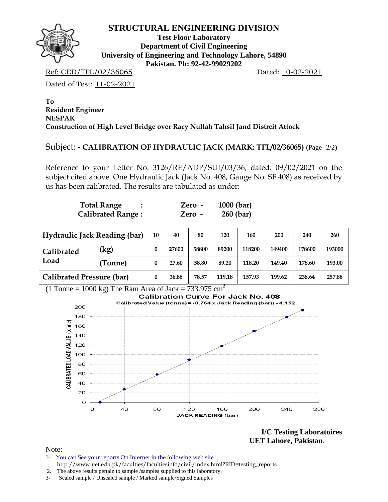

**Test Floor Laboratory Department of Civil Engineering University of Engineering and Technology Lahore, 54890 Pakistan. Ph: 92-42-99029202** 

Ref: CED/TFL/02/36065 Dated: 10-02-2021

Dated of Test: 11-02-2021

#### **To Resident Engineer NESPAK Construction of High Level Bridge over Racy Nullah Tahsil Jand Distrcit Attock**

# Subject: **- CALIBRATION OF HYDRAULIC JACK (MARK: TFL/02/36065)** (Page -2/2)

Reference to your Letter No. 3126/RE/ADP/SUJ/03/36, dated: 09/02/2021 on the subject cited above. One Hydraulic Jack (Jack No. 408, Gauge No. SF 408) as received by us has been calibrated. The results are tabulated as under:

| <b>Total Range</b>       | Zero - | $1000$ (bar) |
|--------------------------|--------|--------------|
| <b>Calibrated Range:</b> | Zero - | $260$ (bar)  |

| <b>Hydraulic Jack Reading (bar)</b> | 10      | 40    | 80    | 120    | 160    | 200    | 240    | 260    |        |
|-------------------------------------|---------|-------|-------|--------|--------|--------|--------|--------|--------|
| Calibrated                          | (kg)    | 0     | 27600 | 58800  | 89200  | 118200 | 149400 | 178600 | 193000 |
| Load                                | (Tonne) | 0     | 27.60 | 58.80  | 89.20  | 118.20 | 149.40 | 178.60 | 193.00 |
| <b>Calibrated Pressure (bar)</b>    |         | 36.88 | 78.57 | 119.18 | 157.93 | 199.62 | 238.64 | 257.88 |        |

(1 Tonne = 1000 kg) The Ram Area of Jack =  $733.975 \text{ cm}^2$ 



**I/C Testing Laboratoires UET Lahore, Pakistan**.

Note:

1- You can See your reports On Internet in the following web site http://www.uet.edu.pk/faculties/facultiesinfo/civil/index.html?RID=testing\_reports

 <sup>2.</sup> The above results pertain to sample /samples supplied to this laboratory.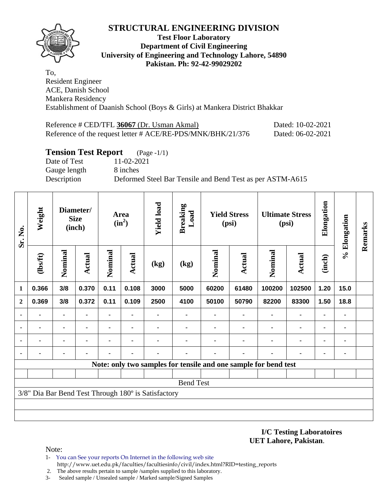

#### **Test Floor Laboratory Department of Civil Engineering University of Engineering and Technology Lahore, 54890 Pakistan. Ph: 92-42-99029202**

To, Resident Engineer ACE, Danish School Mankera Residency Establishment of Daanish School (Boys & Girls) at Mankera District Bhakkar

Reference # CED/TFL **36067** (Dr. Usman Akmal) Dated: 10-02-2021 Reference of the request letter # ACE/RE-PDS/MNK/BHK/21/376 Dated: 06-02-2021

### **Tension Test Report** (Page -1/1)

Date of Test 11-02-2021 Gauge length 8 inches

Description Deformed Steel Bar Tensile and Bend Test as per ASTM-A615

| Sr. No.        | Weight  |                | Diameter/<br><b>Size</b><br>(inch) |                              | Area<br>$(in^2)$ | <b>Yield load</b>                                   | <b>Breaking</b><br>Load  |         | <b>Yield Stress</b><br>(psi) |                                                                 | <b>Ultimate Stress</b><br>(psi) | Elongation               | % Elongation | Remarks |
|----------------|---------|----------------|------------------------------------|------------------------------|------------------|-----------------------------------------------------|--------------------------|---------|------------------------------|-----------------------------------------------------------------|---------------------------------|--------------------------|--------------|---------|
|                | (1bsft) | Nominal        | <b>Actual</b>                      | Nominal                      | Actual           | (kg)                                                | $\left(\text{kg}\right)$ | Nominal | Actual                       | Nominal                                                         | <b>Actual</b>                   | (inch)                   |              |         |
| 1              | 0.366   | 3/8            | 0.370                              | 0.11                         | 0.108            | 3000                                                | 5000                     | 60200   | 61480                        | 100200                                                          | 102500                          | 1.20                     | 15.0         |         |
| $\overline{2}$ | 0.369   | 3/8            | 0.372                              | 0.11                         | 0.109            | 2500                                                | 4100                     | 50100   | 50790                        | 82200                                                           | 83300                           | 1.50                     | 18.8         |         |
|                |         | $\blacksquare$ |                                    | $\qquad \qquad \blacksquare$ | ۰                |                                                     | ۰                        |         | $\blacksquare$               | ۰                                                               | $\blacksquare$                  | $\blacksquare$           | ٠            |         |
|                |         | ٠              |                                    |                              | $\blacksquare$   |                                                     |                          |         |                              |                                                                 |                                 | $\overline{\phantom{a}}$ | ٠            |         |
|                |         | ٠              |                                    |                              |                  |                                                     |                          |         |                              |                                                                 |                                 |                          | ۰            |         |
|                |         | $\blacksquare$ |                                    |                              |                  |                                                     |                          |         |                              |                                                                 |                                 |                          | ۰            |         |
|                |         |                |                                    |                              |                  |                                                     |                          |         |                              | Note: only two samples for tensile and one sample for bend test |                                 |                          |              |         |
|                |         |                |                                    |                              |                  |                                                     |                          |         |                              |                                                                 |                                 |                          |              |         |
|                |         |                |                                    |                              |                  |                                                     | <b>Bend Test</b>         |         |                              |                                                                 |                                 |                          |              |         |
|                |         |                |                                    |                              |                  | 3/8" Dia Bar Bend Test Through 180° is Satisfactory |                          |         |                              |                                                                 |                                 |                          |              |         |
|                |         |                |                                    |                              |                  |                                                     |                          |         |                              |                                                                 |                                 |                          |              |         |
|                |         |                |                                    |                              |                  |                                                     |                          |         |                              |                                                                 |                                 |                          |              |         |

#### **I/C Testing Laboratoires UET Lahore, Pakistan**.

Note:

- 1- You can See your reports On Internet in the following web site http://www.uet.edu.pk/faculties/facultiesinfo/civil/index.html?RID=testing\_reports
- 2. The above results pertain to sample /samples supplied to this laboratory.
- 3- Sealed sample / Unsealed sample / Marked sample/Signed Samples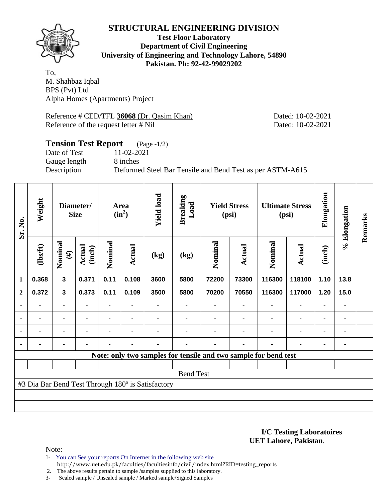

**Test Floor Laboratory Department of Civil Engineering University of Engineering and Technology Lahore, 54890 Pakistan. Ph: 92-42-99029202** 

To, M. Shahbaz Iqbal BPS (Pvt) Ltd Alpha Homes (Apartments) Project

Reference # CED/TFL 36068 (Dr. Qasim Khan) Dated: 10-02-2021 Reference of the request letter # Nil Dated: 10-02-2021

### **Tension Test Report** (Page -1/2) Date of Test 11-02-2021 Gauge length 8 inches Description Deformed Steel Bar Tensile and Bend Test as per ASTM-A615

| Sr. No.        | Weight         |                         | Diameter/<br><b>Size</b> |         | Area<br>$(in^2)$ | <b>Yield load</b>                                 | <b>Breaking</b><br>Load |         | <b>Yield Stress</b><br>(psi) |                                                                 | <b>Ultimate Stress</b><br>(psi) | Elongation     | % Elongation   | Remarks |
|----------------|----------------|-------------------------|--------------------------|---------|------------------|---------------------------------------------------|-------------------------|---------|------------------------------|-----------------------------------------------------------------|---------------------------------|----------------|----------------|---------|
|                | $\frac{2}{10}$ | Nominal<br>$(\#)$       | Actual<br>(inch)         | Nominal | Actual           | (kg)                                              | (kg)                    | Nominal | Actual                       | Nominal                                                         | Actual                          | (inch)         |                |         |
| $\mathbf{1}$   | 0.368          | 3                       | 0.371                    | 0.11    | 0.108            | 3600                                              | 5800                    | 72200   | 73300                        | 116300                                                          | 118100                          | 1.10           | 13.8           |         |
| $\overline{2}$ | 0.372          | $\overline{\mathbf{3}}$ | 0.373                    | 0.11    | 0.109            | 3500                                              | 5800                    | 70200   | 70550                        | 116300                                                          | 117000                          | 1.20           | 15.0           |         |
| ۰              |                | ٠                       |                          |         |                  |                                                   |                         |         |                              |                                                                 |                                 | ٠              |                |         |
| $\blacksquare$ | $\blacksquare$ | ۰                       |                          |         | $\blacksquare$   |                                                   |                         |         |                              |                                                                 | $\blacksquare$                  | ۰              |                |         |
| $\blacksquare$ | $\blacksquare$ |                         |                          |         | $\blacksquare$   |                                                   |                         |         |                              | $\blacksquare$                                                  | ۰                               | ۰              | $\blacksquare$ |         |
|                |                |                         |                          |         |                  |                                                   |                         |         |                              |                                                                 |                                 | $\blacksquare$ |                |         |
|                |                |                         |                          |         |                  |                                                   |                         |         |                              | Note: only two samples for tensile and two sample for bend test |                                 |                |                |         |
|                |                |                         |                          |         |                  |                                                   |                         |         |                              |                                                                 |                                 |                |                |         |
|                |                |                         |                          |         |                  |                                                   | <b>Bend Test</b>        |         |                              |                                                                 |                                 |                |                |         |
|                |                |                         |                          |         |                  | #3 Dia Bar Bend Test Through 180° is Satisfactory |                         |         |                              |                                                                 |                                 |                |                |         |
|                |                |                         |                          |         |                  |                                                   |                         |         |                              |                                                                 |                                 |                |                |         |
|                |                |                         |                          |         |                  |                                                   |                         |         |                              |                                                                 |                                 |                |                |         |

**I/C Testing Laboratoires UET Lahore, Pakistan**.

Note:

1- You can See your reports On Internet in the following web site http://www.uet.edu.pk/faculties/facultiesinfo/civil/index.html?RID=testing\_reports

2. The above results pertain to sample /samples supplied to this laboratory.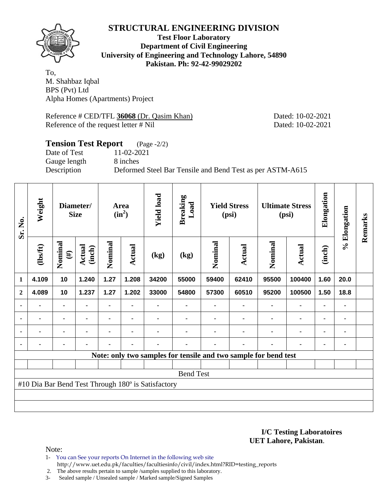

**Test Floor Laboratory Department of Civil Engineering University of Engineering and Technology Lahore, 54890 Pakistan. Ph: 92-42-99029202** 

To, M. Shahbaz Iqbal BPS (Pvt) Ltd Alpha Homes (Apartments) Project

Reference # CED/TFL 36068 (Dr. Qasim Khan) Dated: 10-02-2021 Reference of the request letter # Nil Dated: 10-02-2021

### **Tension Test Report** (Page -2/2) Date of Test 11-02-2021 Gauge length 8 inches Description Deformed Steel Bar Tensile and Bend Test as per ASTM-A615

| Sr. No.        | Weight         |                   | Diameter/<br><b>Size</b> |                | Area<br>$(in^2)$ | <b>Yield load</b>                                  | <b>Breaking</b><br>Load                                         |         | <b>Yield Stress</b><br>(psi) |         | <b>Ultimate Stress</b><br>(psi) | Elongation     | % Elongation | Remarks |
|----------------|----------------|-------------------|--------------------------|----------------|------------------|----------------------------------------------------|-----------------------------------------------------------------|---------|------------------------------|---------|---------------------------------|----------------|--------------|---------|
|                | (lbs/ft)       | Nominal<br>$(\#)$ | Actual<br>(inch)         | Nominal        | <b>Actual</b>    | (kg)                                               | (kg)                                                            | Nominal | Actual                       | Nominal | <b>Actual</b>                   | (inch)         |              |         |
| 1              | 4.109          | 10                | 1.240                    | 1.27           | 1.208            | 34200                                              | 55000                                                           | 59400   | 62410                        | 95500   | 100400                          | 1.60           | 20.0         |         |
| $\overline{2}$ | 4.089          | 10                | 1.237                    | 1.27           | 1.202            | 33000                                              | 54800                                                           | 57300   | 60510                        | 95200   | 100500                          | 1.50           | 18.8         |         |
| ٠              |                | ۰                 |                          |                |                  |                                                    |                                                                 |         |                              |         | ۰                               | ٠              |              |         |
| $\blacksquare$ | $\blacksquare$ |                   | $\blacksquare$           |                |                  |                                                    |                                                                 |         |                              | ٠       | $\blacksquare$                  | ۰              |              |         |
|                | $\blacksquare$ |                   | $\blacksquare$           | $\blacksquare$ | $\blacksquare$   |                                                    |                                                                 |         |                              | ٠       | $\blacksquare$                  | ۰              |              |         |
|                |                | ۰                 |                          |                |                  |                                                    |                                                                 |         | $\blacksquare$               |         |                                 | $\blacksquare$ |              |         |
|                |                |                   |                          |                |                  |                                                    | Note: only two samples for tensile and two sample for bend test |         |                              |         |                                 |                |              |         |
|                |                |                   |                          |                |                  |                                                    |                                                                 |         |                              |         |                                 |                |              |         |
|                |                |                   |                          |                |                  |                                                    | <b>Bend Test</b>                                                |         |                              |         |                                 |                |              |         |
|                |                |                   |                          |                |                  | #10 Dia Bar Bend Test Through 180° is Satisfactory |                                                                 |         |                              |         |                                 |                |              |         |
|                |                |                   |                          |                |                  |                                                    |                                                                 |         |                              |         |                                 |                |              |         |
|                |                |                   |                          |                |                  |                                                    |                                                                 |         |                              |         |                                 |                |              |         |

**I/C Testing Laboratoires UET Lahore, Pakistan**.

Note:

1- You can See your reports On Internet in the following web site http://www.uet.edu.pk/faculties/facultiesinfo/civil/index.html?RID=testing\_reports

2. The above results pertain to sample /samples supplied to this laboratory.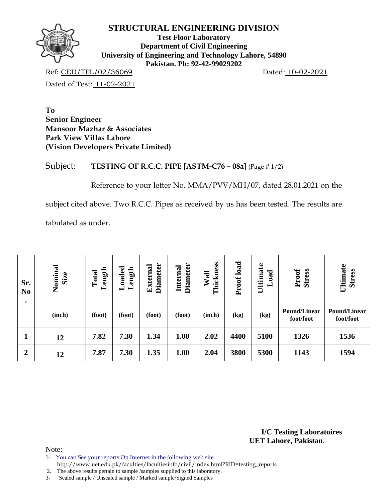

**Test Floor Laboratory Department of Civil Engineering University of Engineering and Technology Lahore, 54890 Pakistan. Ph: 92-42-99029202** 

Ref: CED/TFL/02/36069 Dated: 10-02-2021 Dated of Test: 11-02-2021

**To Senior Engineer Mansoor Mazhar & Associates Park View Villas Lahore (Vision Developers Private Limited)** 

Subject: **TESTING OF R.C.C. PIPE [ASTM-C76 – 08a]** (Page # 1/2)

Reference to your letter No. MMA/PVV/MH/07, dated 28.01.2021 on the

subject cited above. Two R.C.C. Pipes as received by us has been tested. The results are

tabulated as under.

| Sr.<br>N <sub>0</sub><br>$\bullet$ | Nominal<br>Size | Length<br>Total | $\rm_{Loaded}$<br>Length | <b>Diameter</b><br><b>External</b> | <b>Diameter</b><br>Internal | Thickness<br>Wall | load<br>Proof! | Ultimate<br><sub>0ad</sub><br>$\overline{\phantom{0}}$ | <b>Stress</b><br>Proof           | Ultimate<br><b>Stress</b>        |
|------------------------------------|-----------------|-----------------|--------------------------|------------------------------------|-----------------------------|-------------------|----------------|--------------------------------------------------------|----------------------------------|----------------------------------|
|                                    | (inch)          | (foot)          | (foot)                   | (foot)                             | (foot)                      | (inch)            | (kg)           | (kg)                                                   | <b>Pound/Linear</b><br>foot/foot | <b>Pound/Linear</b><br>foot/foot |
| $\mathbf{1}$                       | 12              | 7.82            | 7.30                     | 1.34                               | 1.00                        | 2.02              | 4400           | 5100                                                   | 1326                             | 1536                             |
| $\boldsymbol{2}$                   | 12              | 7.87            | 7.30                     | 1.35                               | 1.00                        | 2.04              | 3800           | 5300                                                   | 1143                             | 1594                             |

**I/C Testing Laboratoires UET Lahore, Pakistan**.

Note:

1- You can See your reports On Internet in the following web site

http://www.uet.edu.pk/faculties/facultiesinfo/civil/index.html?RID=testing\_reports

2. The above results pertain to sample /samples supplied to this laboratory.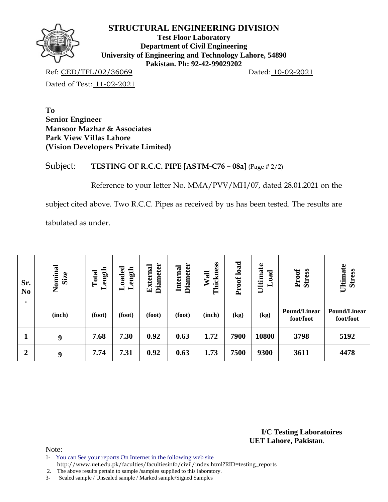

**Test Floor Laboratory Department of Civil Engineering University of Engineering and Technology Lahore, 54890 Pakistan. Ph: 92-42-99029202** 

Ref: CED/TFL/02/36069 Dated: 10-02-2021

Dated of Test: 11-02-2021

**To Senior Engineer Mansoor Mazhar & Associates Park View Villas Lahore (Vision Developers Private Limited)** 

Subject: **TESTING OF R.C.C. PIPE [ASTM-C76 – 08a]** (Page # 2/2)

Reference to your letter No. MMA/PVV/MH/07, dated 28.01.2021 on the

subject cited above. Two R.C.C. Pipes as received by us has been tested. The results are

tabulated as under.

| Sr.<br>N <sub>0</sub><br>$\bullet$ | Nominal<br>Size | Length<br>Total | $\rm_{Loaded}$<br>Length | <b>Diameter</b><br><b>External</b> | <b>Diameter</b><br>Internal | Thickness<br>Wall | load<br>Proof! | Ultimate<br><sub>0ad</sub><br>$\overline{\phantom{0}}$ | <b>Stress</b><br>Proof           | Ultimate<br><b>Stress</b>        |
|------------------------------------|-----------------|-----------------|--------------------------|------------------------------------|-----------------------------|-------------------|----------------|--------------------------------------------------------|----------------------------------|----------------------------------|
|                                    | (inch)          | (foot)          | (foot)                   | (foot)                             | (foot)                      | (inch)            | (kg)           | (kg)                                                   | <b>Pound/Linear</b><br>foot/foot | <b>Pound/Linear</b><br>foot/foot |
| $\mathbf{1}$                       | 9               | 7.68            | 7.30                     | 0.92                               | 0.63                        | 1.72              | 7900           | 10800                                                  | 3798                             | 5192                             |
| $\boldsymbol{2}$                   | 9               | 7.74            | 7.31                     | 0.92                               | 0.63                        | 1.73              | 7500           | 9300                                                   | 3611                             | 4478                             |

**I/C Testing Laboratoires UET Lahore, Pakistan**.

Note:

1- You can See your reports On Internet in the following web site

http://www.uet.edu.pk/faculties/facultiesinfo/civil/index.html?RID=testing\_reports

2. The above results pertain to sample /samples supplied to this laboratory.